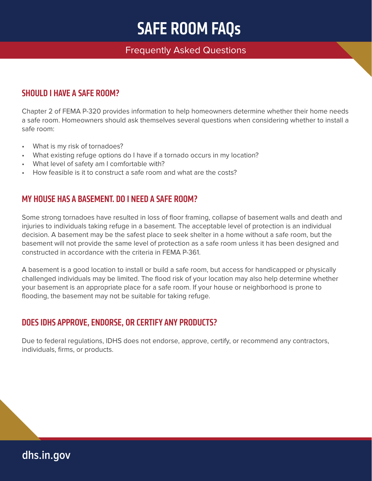#### Frequently Asked Questions

#### SHOULD LHAVE A SAFE ROOM?

Chapter 2 of FEMA P-320 provides information to help homeowners determine whether their home needs a safe room. Homeowners should ask themselves several questions when considering whether to install a safe room:

- What is my risk of tornadoes?
- What existing refuge options do I have if a tornado occurs in my location?
- What level of safety am I comfortable with?
- How feasible is it to construct a safe room and what are the costs?

#### MY HOUSE HAS A BASEMENT. DO I NEED A SAFE ROOM?

Some strong tornadoes have resulted in loss of floor framing, collapse of basement walls and death and injuries to individuals taking refuge in a basement. The acceptable level of protection is an individual decision. A basement may be the safest place to seek shelter in a home without a safe room, but the basement will not provide the same level of protection as a safe room unless it has been designed and constructed in accordance with the criteria in FEMA P-361.

A basement is a good location to install or build a safe room, but access for handicapped or physically challenged individuals may be limited. The flood risk of your location may also help determine whether your basement is an appropriate place for a safe room. If your house or neighborhood is prone to flooding, the basement may not be suitable for taking refuge.

### DOES IDHS APPROVE, ENDORSE, OR CERTIFY ANY PRODUCTS?

Due to federal regulations, IDHS does not endorse, approve, certify, or recommend any contractors, individuals, firms, or products.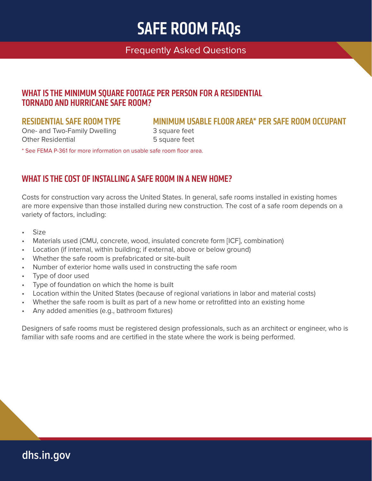#### Frequently Asked Questions

#### WHAT IS THE MINIMUM SQUARE FOOTAGE PER PERSON FOR A RESIDENTIAL TORNADO AND HURRICANE SAFE ROOM?

One- and Two-Family Dwelling 3 square feet Other Residential **5** square feet

#### RESIDENTIAL SAFE ROOM TYPE MINIMUM USABLE FLOOR AREA\* PER SAFE ROOM OCCUPANT

\* See FEMA P-361 for more information on usable safe room floor area.

#### WHAT IS THE COST OF INSTALLING A SAFE ROOM IN A NEW HOME?

Costs for construction vary across the United States. In general, safe rooms installed in existing homes are more expensive than those installed during new construction. The cost of a safe room depends on a variety of factors, including:

- Size
- Materials used (CMU, concrete, wood, insulated concrete form [ICF], combination)
- Location (if internal, within building; if external, above or below ground)
- Whether the safe room is prefabricated or site-built
- Number of exterior home walls used in constructing the safe room
- Type of door used
- Type of foundation on which the home is built
- Location within the United States (because of regional variations in labor and material costs)
- Whether the safe room is built as part of a new home or retrofitted into an existing home
- Any added amenities (e.g., bathroom fixtures)

Designers of safe rooms must be registered design professionals, such as an architect or engineer, who is familiar with safe rooms and are certified in the state where the work is being performed.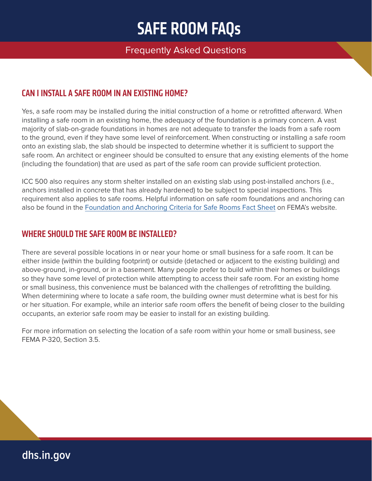#### Frequently Asked Questions

#### CAN I INSTALL A SAFE ROOM IN AN EXISTING HOME?

Yes, a safe room may be installed during the initial construction of a home or retrofitted afterward. When installing a safe room in an existing home, the adequacy of the foundation is a primary concern. A vast majority of slab-on-grade foundations in homes are not adequate to transfer the loads from a safe room to the ground, even if they have some level of reinforcement. When constructing or installing a safe room onto an existing slab, the slab should be inspected to determine whether it is sufficient to support the safe room. An architect or engineer should be consulted to ensure that any existing elements of the home (including the foundation) that are used as part of the safe room can provide sufficient protection.

ICC 500 also requires any storm shelter installed on an existing slab using post-installed anchors (i.e., anchors installed in concrete that has already hardened) to be subject to special inspections. This requirement also applies to safe rooms. Helpful information on safe room foundations and anchoring can also be found in the [Foundation and Anchoring Criteria for Safe Rooms Fact Sheet](https://www.fema.gov/sites/default/files/2020-07/foundation-anchoring-criteria-safe-rooms.pdf) on FEMA's website.

#### WHERE SHOULD THE SAFE ROOM BE INSTALLED?

There are several possible locations in or near your home or small business for a safe room. It can be either inside (within the building footprint) or outside (detached or adjacent to the existing building) and above-ground, in-ground, or in a basement. Many people prefer to build within their homes or buildings so they have some level of protection while attempting to access their safe room. For an existing home or small business, this convenience must be balanced with the challenges of retrofitting the building. When determining where to locate a safe room, the building owner must determine what is best for his or her situation. For example, while an interior safe room offers the benefit of being closer to the building occupants, an exterior safe room may be easier to install for an existing building.

For more information on selecting the location of a safe room within your home or small business, see FEMA P-320, Section 3.5.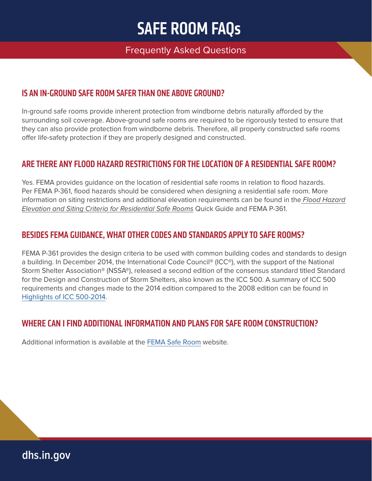#### Frequently Asked Questions

#### IS AN IN-GROUND SAFE ROOM SAFER THAN ONE ABOVE GROUND?

In-ground safe rooms provide inherent protection from windborne debris naturally afforded by the surrounding soil coverage. Above-ground safe rooms are required to be rigorously tested to ensure that they can also provide protection from windborne debris. Therefore, all properly constructed safe rooms offer life-safety protection if they are properly designed and constructed.

#### ARE THERE ANY FLOOD HAZARD RESTRICTIONS FOR THE LOCATION OF A RESIDENTIAL SAFE ROOM?

Yes. FEMA provides guidance on the location of residential safe rooms in relation to flood hazards. Per FEMA P-361, flood hazards should be considered when designing a residential safe room. More information on siting restrictions and additional elevation requirements can be found in the Flood Hazard Elevation and Siting Criteria for Residential Safe Rooms Quick Guide and FEMA P-361.

#### BESIDES FEMA GUIDANCE, WHAT OTHER CODES AND STANDARDS APPLY TO SAFE ROOMS?

FEMA P-361 provides the design criteria to be used with common building codes and standards to design a building. In December 2014, the International Code Council® (ICC®), with the support of the National Storm Shelter Association® (NSSA®), released a second edition of the consensus standard titled Standard for the Design and Construction of Storm Shelters, also known as the ICC 500. A summary of ICC 500 requirements and changes made to the 2014 edition compared to the 2008 edition can be found in [Highlights of ICC 500-2014.](https://www.fema.gov/sites/default/files/2020-07/highlights-icc-500.pdf)

#### WHERE CAN I FIND ADDITIONAL INFORMATION AND PLANS FOR SAFE ROOM CONSTRUCTION?

Additional information is available at the [FEMA Safe Room](https://www.fema.gov/safe-rooms) website.

**[dhs.in.gov](http://dhs.in.gov)**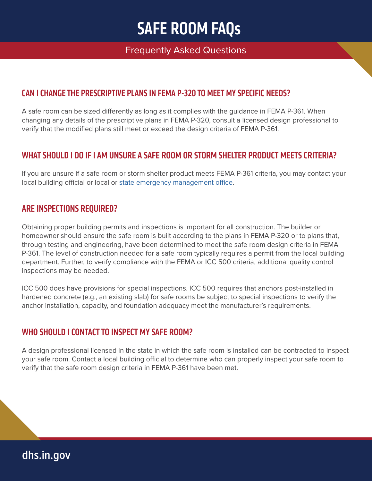#### Frequently Asked Questions

#### CAN I CHANGE THE PRESCRIPTIVE PLANS IN FEMA P-320 TO MEET MY SPECIFIC NEEDS?

A safe room can be sized differently as long as it complies with the guidance in FEMA P-361. When changing any details of the prescriptive plans in FEMA P-320, consult a licensed design professional to verify that the modified plans still meet or exceed the design criteria of FEMA P-361.

#### WHAT SHOULD I DO IF I AM UNSURE A SAFE ROOM OR STORM SHELTER PRODUCT MEETS CRITERIA?

If you are unsure if a safe room or storm shelter product meets FEMA P-361 criteria, you may contact your local building official or local or [state emergency management office](https://www.fema.gov/locations).

#### ARE INSPECTIONS REQUIRED?

Obtaining proper building permits and inspections is important for all construction. The builder or homeowner should ensure the safe room is built according to the plans in FEMA P-320 or to plans that, through testing and engineering, have been determined to meet the safe room design criteria in FEMA P-361. The level of construction needed for a safe room typically requires a permit from the local building department. Further, to verify compliance with the FEMA or ICC 500 criteria, additional quality control inspections may be needed.

ICC 500 does have provisions for special inspections. ICC 500 requires that anchors post-installed in hardened concrete (e.g., an existing slab) for safe rooms be subject to special inspections to verify the anchor installation, capacity, and foundation adequacy meet the manufacturer's requirements.

#### WHO SHOULD I CONTACT TO INSPECT MY SAFE ROOM?

A design professional licensed in the state in which the safe room is installed can be contracted to inspect your safe room. Contact a local building official to determine who can properly inspect your safe room to verify that the safe room design criteria in FEMA P-361 have been met.

### **[dhs.in.gov](http://dhs.in.gov)**